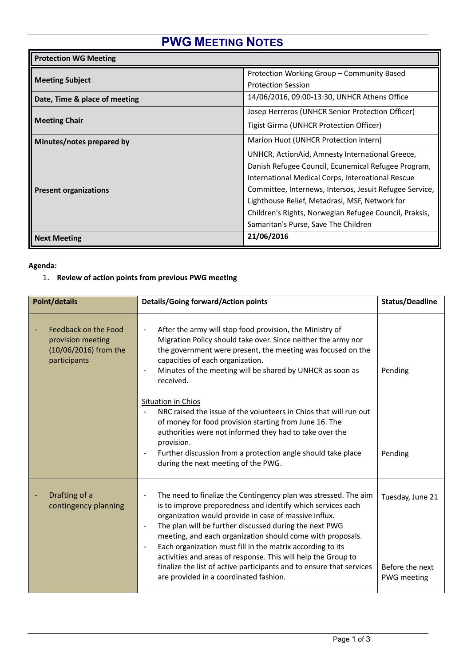# **PWG MEETING NOTES**

| <b>Protection WG Meeting</b>  |                                                         |  |  |
|-------------------------------|---------------------------------------------------------|--|--|
|                               | Protection Working Group - Community Based              |  |  |
| <b>Meeting Subject</b>        | <b>Protection Session</b>                               |  |  |
| Date, Time & place of meeting | 14/06/2016, 09:00-13:30, UNHCR Athens Office            |  |  |
|                               | Josep Herreros (UNHCR Senior Protection Officer)        |  |  |
| <b>Meeting Chair</b>          | Tigist Girma (UNHCR Protection Officer)                 |  |  |
| Minutes/notes prepared by     | Marion Huot (UNHCR Protection intern)                   |  |  |
|                               | UNHCR, ActionAid, Amnesty International Greece,         |  |  |
|                               | Danish Refugee Council, Ecunemical Refugee Program,     |  |  |
|                               | International Medical Corps, International Rescue       |  |  |
| <b>Present organizations</b>  | Committee, Internews, Intersos, Jesuit Refugee Service, |  |  |
|                               | Lighthouse Relief, Metadrasi, MSF, Network for          |  |  |
|                               | Children's Rights, Norwegian Refugee Council, Praksis,  |  |  |
|                               | Samaritan's Purse, Save The Children                    |  |  |
| <b>Next Meeting</b>           | 21/06/2016                                              |  |  |

### **Agenda:**

## 1. **Review of action points from previous PWG meeting**

| <b>Point/details</b>                                                               | <b>Details/Going forward/Action points</b>                                                                                                                                                                                                                                                                                                                                                                                                                                                                                                                                                                                                  | Status/Deadline                                           |
|------------------------------------------------------------------------------------|---------------------------------------------------------------------------------------------------------------------------------------------------------------------------------------------------------------------------------------------------------------------------------------------------------------------------------------------------------------------------------------------------------------------------------------------------------------------------------------------------------------------------------------------------------------------------------------------------------------------------------------------|-----------------------------------------------------------|
| Feedback on the Food<br>provision meeting<br>(10/06/2016) from the<br>participants | After the army will stop food provision, the Ministry of<br>Migration Policy should take over. Since neither the army nor<br>the government were present, the meeting was focused on the<br>capacities of each organization.<br>Minutes of the meeting will be shared by UNHCR as soon as<br>received.<br>Situation in Chios<br>NRC raised the issue of the volunteers in Chios that will run out<br>of money for food provision starting from June 16. The<br>authorities were not informed they had to take over the<br>provision.<br>Further discussion from a protection angle should take place<br>during the next meeting of the PWG. | Pending<br>Pending                                        |
| Drafting of a<br>contingency planning                                              | The need to finalize the Contingency plan was stressed. The aim<br>is to improve preparedness and identify which services each<br>organization would provide in case of massive influx.<br>The plan will be further discussed during the next PWG<br>$\overline{\phantom{a}}$<br>meeting, and each organization should come with proposals.<br>Each organization must fill in the matrix according to its<br>$\overline{\phantom{a}}$<br>activities and areas of response. This will help the Group to<br>finalize the list of active participants and to ensure that services<br>are provided in a coordinated fashion.                    | Tuesday, June 21<br>Before the next<br><b>PWG</b> meeting |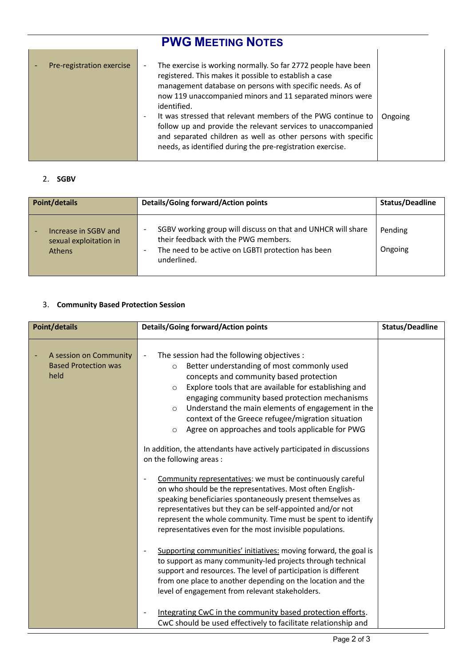## **PWG MEETING NOTES** Pre-registration exercise  $\vert \cdot \vert$  The exercise is working normally. So far 2772 people have been registered. This makes it possible to establish a case management database on persons with specific needs. As of now 119 unaccompanied minors and 11 separated minors were identified. - It was stressed that relevant members of the PWG continue to follow up and provide the relevant services to unaccompanied and separated children as well as other persons with specific needs, as identified during the pre-registration exercise. Ongoing

#### 2. **SGBV**

| Point/details                                                   | Details/Going forward/Action points                                                                                                                                       | Status/Deadline    |
|-----------------------------------------------------------------|---------------------------------------------------------------------------------------------------------------------------------------------------------------------------|--------------------|
| Increase in SGBV and<br>sexual exploitation in<br><b>Athens</b> | SGBV working group will discuss on that and UNHCR will share<br>their feedback with the PWG members.<br>The need to be active on LGBTI protection has been<br>underlined. | Pending<br>Ongoing |

#### 3. **Community Based Protection Session**

| <b>Point/details</b>                                          | <b>Details/Going forward/Action points</b>                                                                                                                                                                                                                                                                                                                                                                                                                                                                                                                                                                                                                                                                                                                                                                                                                                                                                                                                                                                                                                                                                                                                                                                                                                                                                                                                                             | <b>Status/Deadline</b> |
|---------------------------------------------------------------|--------------------------------------------------------------------------------------------------------------------------------------------------------------------------------------------------------------------------------------------------------------------------------------------------------------------------------------------------------------------------------------------------------------------------------------------------------------------------------------------------------------------------------------------------------------------------------------------------------------------------------------------------------------------------------------------------------------------------------------------------------------------------------------------------------------------------------------------------------------------------------------------------------------------------------------------------------------------------------------------------------------------------------------------------------------------------------------------------------------------------------------------------------------------------------------------------------------------------------------------------------------------------------------------------------------------------------------------------------------------------------------------------------|------------------------|
| A session on Community<br><b>Based Protection was</b><br>held | The session had the following objectives :<br>Better understanding of most commonly used<br>$\circ$<br>concepts and community based protection<br>Explore tools that are available for establishing and<br>$\circ$<br>engaging community based protection mechanisms<br>Understand the main elements of engagement in the<br>$\circ$<br>context of the Greece refugee/migration situation<br>Agree on approaches and tools applicable for PWG<br>$\circ$<br>In addition, the attendants have actively participated in discussions<br>on the following areas :<br>Community representatives: we must be continuously careful<br>on who should be the representatives. Most often English-<br>speaking beneficiaries spontaneously present themselves as<br>representatives but they can be self-appointed and/or not<br>represent the whole community. Time must be spent to identify<br>representatives even for the most invisible populations.<br>Supporting communities' initiatives: moving forward, the goal is<br>to support as many community-led projects through technical<br>support and resources. The level of participation is different<br>from one place to another depending on the location and the<br>level of engagement from relevant stakeholders.<br>Integrating CwC in the community based protection efforts.<br>CwC should be used effectively to facilitate relationship and |                        |